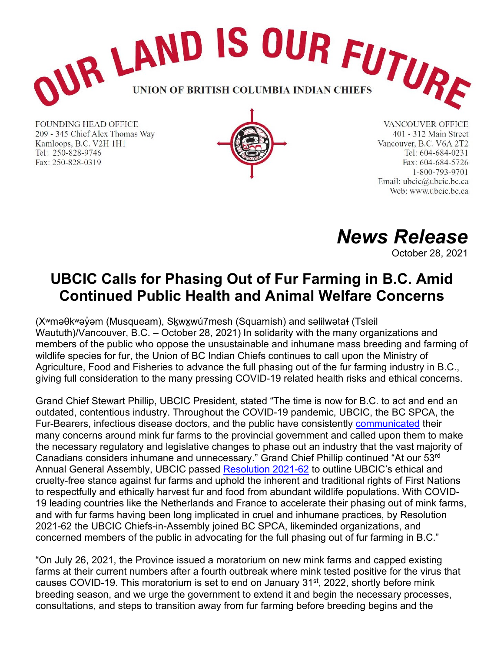

**FOUNDING HEAD OFFICE** 209 - 345 Chief Alex Thomas Way Kamloops, B.C. V2H 1H1 Tel: 250-828-9746 Fax: 250-828-0319



**VANCOUVER OFFICE** 401 - 312 Main Street Vancouver, B.C. V6A 2T2 Tel: 604-684-0231 Fax: 604-684-5726 1-800-793-9701 Email: ubcic@ubcic.bc.ca Web: www.ubcic.bc.ca

*News Release*

October 28, 2021

## **UBCIC Calls for Phasing Out of Fur Farming in B.C. Amid Continued Public Health and Animal Welfare Concerns**

(X<sup>w</sup>məθk<sup>w</sup>əγ̓əm (Musqueam), Skwxwú7mesh (Squamish) and səlilwətał (Tsleil Waututh)/Vancouver, B.C. – October 28, 2021) In solidarity with the many organizations and members of the public who oppose the unsustainable and inhumane mass breeding and farming of wildlife species for fur, the Union of BC Indian Chiefs continues to call upon the Ministry of Agriculture, Food and Fisheries to advance the full phasing out of the fur farming industry in B.C., giving full consideration to the many pressing COVID-19 related health risks and ethical concerns.

Grand Chief Stewart Phillip, UBCIC President, stated "The time is now for B.C. to act and end an outdated, contentious industry. Throughout the COVID-19 pandemic, UBCIC, the BC SPCA, the Fur-Bearers, infectious disease doctors, and the public have consistently [communicated](https://www.ubcic.bc.ca/moratorium_on_b_c_industrial_mink_farming_ending_the_farming_of_wild_animals_for_luxury_products) their many concerns around mink fur farms to the provincial government and called upon them to make the necessary regulatory and legislative changes to phase out an industry that the vast majority of Canadians considers inhumane and unnecessary." Grand Chief Phillip continued "At our 53rd Annual General Assembly, UBCIC passed [Resolution 2021](https://d3n8a8pro7vhmx.cloudfront.net/ubcic/pages/132/attachments/original/1634850142/2021Sept_AGA_FinalResolutions_Combined.pdf?1634850142)-62 to outline UBCIC's ethical and cruelty-free stance against fur farms and uphold the inherent and traditional rights of First Nations to respectfully and ethically harvest fur and food from abundant wildlife populations. With COVID-19 leading countries like the Netherlands and France to accelerate their phasing out of mink farms, and with fur farms having been long implicated in cruel and inhumane practices, by Resolution 2021-62 the UBCIC Chiefs-in-Assembly joined BC SPCA, likeminded organizations, and concerned members of the public in advocating for the full phasing out of fur farming in B.C."

"On July 26, 2021, the Province issued a moratorium on new mink farms and capped existing farms at their current numbers after a fourth outbreak where mink tested positive for the virus that causes COVID-19. This moratorium is set to end on January 31<sup>st</sup>, 2022, shortly before mink breeding season, and we urge the government to extend it and begin the necessary processes, consultations, and steps to transition away from fur farming before breeding begins and the